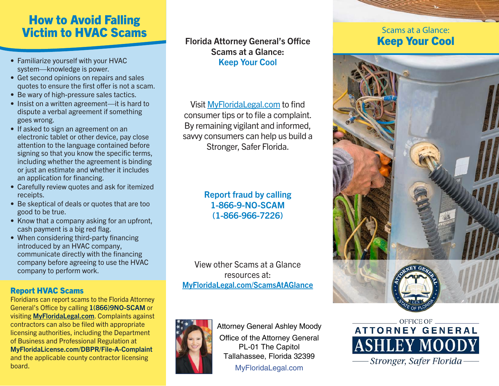## How to Avoid Falling Victim to HVAC Scams

- Familiarize yourself with your HVAC system—knowledge is power.
- Get second opinions on repairs and sales quotes to ensure the first offer is not a scam.
- Be wary of high-pressure sales tactics.
- Insist on a written agreement—it is hard to dispute a verbal agreement if something goes wrong.
- If asked to sign an agreement on an electronic tablet or other device, pay close attention to the language contained before signing so that you know the specific terms, including whether the agreement is binding or just an estimate and whether it includes an application for financing.
- Carefully review quotes and ask for itemized receipts.
- Be skeptical of deals or quotes that are too good to be true.
- Know that a company asking for an upfront, cash payment is a big red flag.
- When considering third-party financing introduced by an HVAC company, communicate directly with the financing company before agreeing to use the HVAC company to perform work.

## Report HVAC Scams

Floridians can report scams to the Florida Attorney General's Office by calling 1(866)9NO-SCAM or visiting MyFloridaLegal.com. Complaints against contractors can also be filed with appropriate licensing authorities, including the Department of Business and Professional Regulation at MyFloridaLicense.com/DBPR/File-A-Complaint and the applicable county contractor licensing board.

## Florida Attorney General's Office Scams at a Glance: Keep Your Cool

Visit MyFloridaLegal.com to find consumer tips or to file a complaint. By remaining vigilant and informed, savvy consumers can help us build a Stronger, Safer Florida.

## Report fraud by calling 1-866-9-NO-SCAM (1-866-966-7226)

View other Scams at a Glance resources at: MyFloridaLegal.com/ScamsAtAGlance



Attorney General Ashley Moody Office of the Attorney General PL-01 The Capitol Tallahassee, Florida 32399

MyFloridaLegal.com

## Scams at a Glance: Keep Your Cool